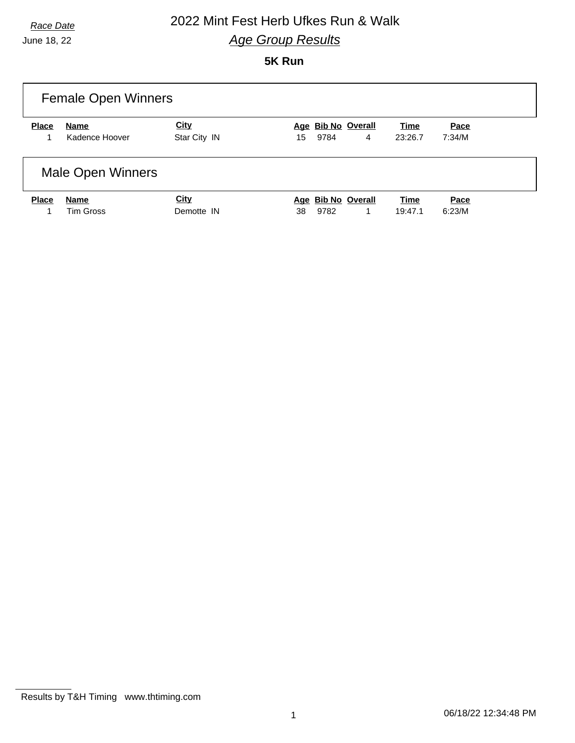June 18, 22

## **5K Run**

| <b>Female Open Winners</b> |                          |              |    |      |                    |             |        |  |
|----------------------------|--------------------------|--------------|----|------|--------------------|-------------|--------|--|
| <b>Place</b>               | Name                     | <b>City</b>  |    |      | Age Bib No Overall | <b>Time</b> | Pace   |  |
|                            | Kadence Hoover           | Star City IN | 15 | 9784 | 4                  | 23:26.7     | 7:34/M |  |
|                            | <b>Male Open Winners</b> |              |    |      |                    |             |        |  |
| <b>Place</b>               | Name                     | <b>City</b>  |    |      | Age Bib No Overall | Time        | Pace   |  |
|                            | <b>Tim Gross</b>         | Demotte IN   | 38 | 9782 | 1                  | 19:47.1     | 6:23/M |  |

Results by T&H Timing www.thtiming.com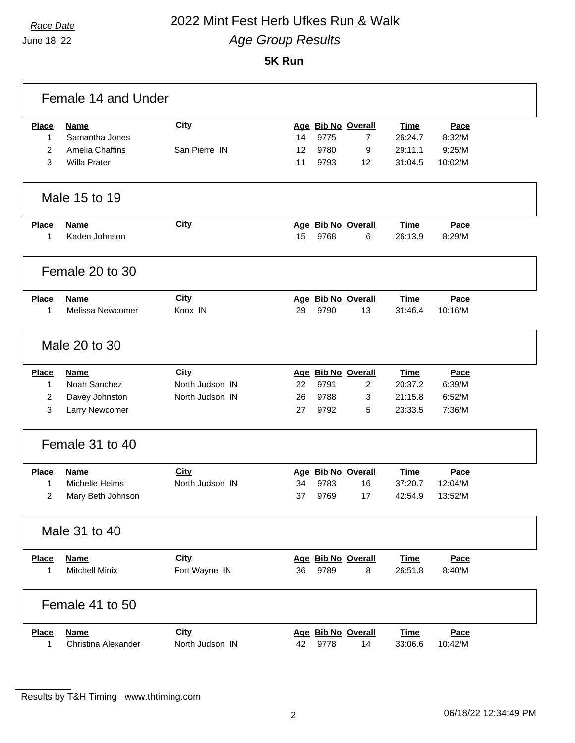June 18, 22

## **5K Run**

|                | Female 14 and Under    |                 |    |      |                    |             |         |  |
|----------------|------------------------|-----------------|----|------|--------------------|-------------|---------|--|
| <b>Place</b>   | <b>Name</b>            | <b>City</b>     |    |      | Age Bib No Overall | <b>Time</b> | Pace    |  |
| 1              | Samantha Jones         |                 | 14 | 9775 | 7                  | 26:24.7     | 8:32/M  |  |
| 2              | <b>Amelia Chaffins</b> | San Pierre IN   | 12 | 9780 | 9                  | 29:11.1     | 9:25/M  |  |
| 3              | <b>Willa Prater</b>    |                 | 11 | 9793 | 12                 | 31:04.5     | 10:02/M |  |
|                |                        |                 |    |      |                    |             |         |  |
|                | Male 15 to 19          |                 |    |      |                    |             |         |  |
| <b>Place</b>   | <b>Name</b>            | <b>City</b>     |    |      | Age Bib No Overall | <b>Time</b> | Pace    |  |
| 1              | Kaden Johnson          |                 | 15 | 9768 | 6                  | 26:13.9     | 8:29/M  |  |
|                |                        |                 |    |      |                    |             |         |  |
|                | Female 20 to 30        |                 |    |      |                    |             |         |  |
| <b>Place</b>   | <b>Name</b>            | City            |    |      | Age Bib No Overall | <b>Time</b> | Pace    |  |
| 1              | Melissa Newcomer       | Knox IN         | 29 | 9790 | 13                 | 31:46.4     | 10:16/M |  |
|                |                        |                 |    |      |                    |             |         |  |
|                | Male 20 to 30          |                 |    |      |                    |             |         |  |
| <b>Place</b>   | <b>Name</b>            | <b>City</b>     |    |      | Age Bib No Overall | <b>Time</b> | Pace    |  |
| 1              | Noah Sanchez           | North Judson IN | 22 | 9791 | 2                  | 20:37.2     | 6:39/M  |  |
| 2              | Davey Johnston         | North Judson IN | 26 | 9788 | 3                  | 21:15.8     | 6:52/M  |  |
| 3              | Larry Newcomer         |                 | 27 | 9792 | 5                  | 23:33.5     | 7:36/M  |  |
|                |                        |                 |    |      |                    |             |         |  |
|                | Female 31 to 40        |                 |    |      |                    |             |         |  |
| <b>Place</b>   | <b>Name</b>            | City            |    |      | Age Bib No Overall | <b>Time</b> | Pace    |  |
| 1              | Michelle Heims         | North Judson IN | 34 | 9783 | 16                 | 37:20.7     | 12:04/M |  |
| $\overline{c}$ | Mary Beth Johnson      |                 | 37 | 9769 | 17                 | 42:54.9     | 13:52/M |  |
|                | Male 31 to 40          |                 |    |      |                    |             |         |  |
| <b>Place</b>   | <b>Name</b>            | City            |    |      | Age Bib No Overall | <b>Time</b> | Pace    |  |
| 1              | <b>Mitchell Minix</b>  | Fort Wayne IN   | 36 | 9789 | 8                  | 26:51.8     | 8:40/M  |  |
|                |                        |                 |    |      |                    |             |         |  |
|                | Female 41 to 50        |                 |    |      |                    |             |         |  |
| <b>Place</b>   | <b>Name</b>            | City            |    |      | Age Bib No Overall | <b>Time</b> | Pace    |  |
| 1              | Christina Alexander    | North Judson IN | 42 | 9778 | 14                 | 33:06.6     | 10:42/M |  |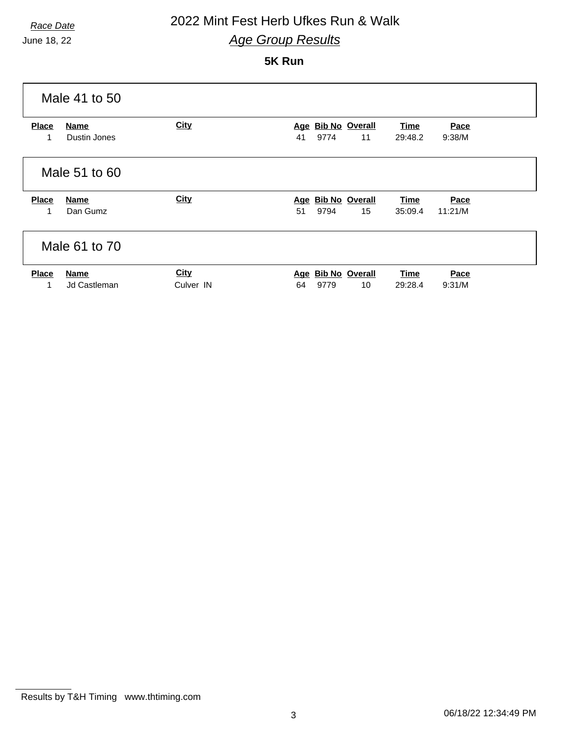June 18, 22

## **5K Run**

|                   | Male 41 to 50               |             |    |      |                          |                        |                 |
|-------------------|-----------------------------|-------------|----|------|--------------------------|------------------------|-----------------|
| <b>Place</b><br>1 | <b>Name</b><br>Dustin Jones | <b>City</b> | 41 | 9774 | Age Bib No Overall<br>11 | <b>Time</b><br>29:48.2 | Pace<br>9:38/M  |
|                   | Male 51 to 60               |             |    |      |                          |                        |                 |
|                   |                             |             |    |      |                          |                        |                 |
| <b>Place</b><br>1 | Name<br>Dan Gumz            | <b>City</b> | 51 | 9794 | Age Bib No Overall<br>15 | <b>Time</b><br>35:09.4 | Pace<br>11:21/M |
|                   | Male 61 to 70               |             |    |      |                          |                        |                 |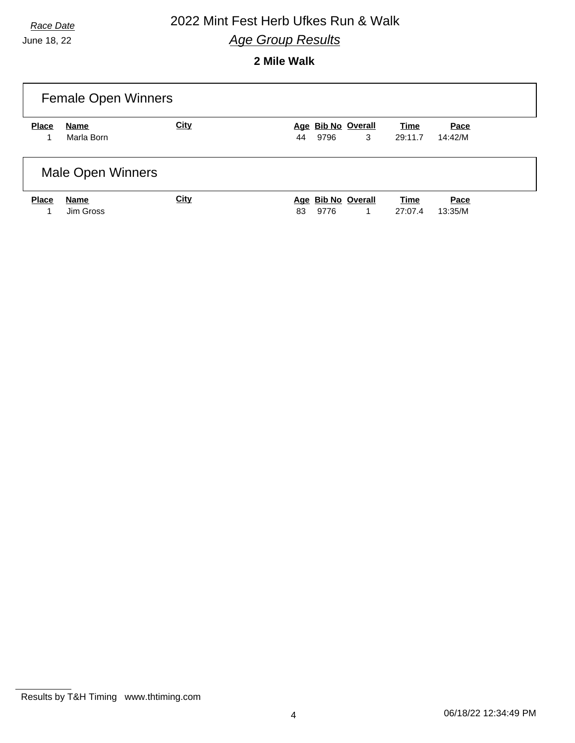June 18, 22

### **2 Mile Walk**

| <b>Female Open Winners</b> |                          |             |                                       |                        |                 |  |  |
|----------------------------|--------------------------|-------------|---------------------------------------|------------------------|-----------------|--|--|
| <b>Place</b><br>1          | Name<br>Marla Born       | <b>City</b> | Age Bib No Overall<br>3<br>9796<br>44 | <b>Time</b><br>29:11.7 | Pace<br>14:42/M |  |  |
|                            | <b>Male Open Winners</b> |             |                                       |                        |                 |  |  |
| <b>Place</b>               | Name<br>Jim Gross        | <b>City</b> | Age Bib No Overall<br>9776<br>83<br>1 | <b>Time</b><br>27:07.4 | Pace<br>13:35/M |  |  |

Results by T&H Timing www.thtiming.com